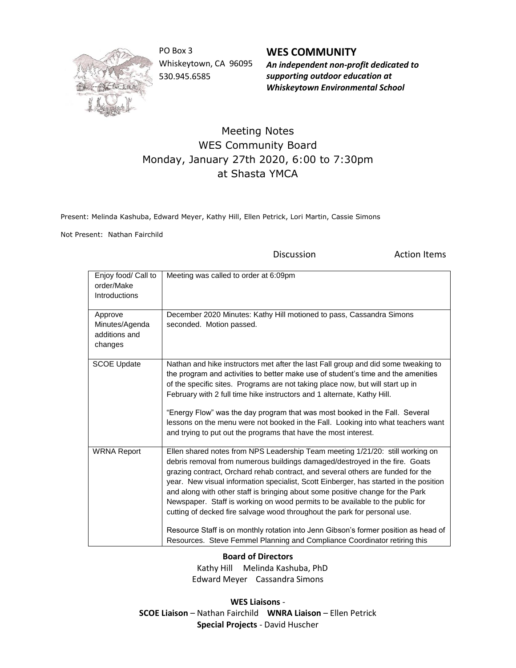

PO Box 3 Whiskeytown, CA 96095 530.945.6585

**WES COMMUNITY** *An independent non-profit dedicated to supporting outdoor education at*

*Whiskeytown Environmental School*

## Meeting Notes WES Community Board Monday, January 27th 2020, 6:00 to 7:30pm at Shasta YMCA

Present: Melinda Kashuba, Edward Meyer, Kathy Hill, Ellen Petrick, Lori Martin, Cassie Simons

Not Present: Nathan Fairchild

Discussion **Action Items** 

| Enjoy food/ Call to<br>order/Make<br>Introductions    | Meeting was called to order at 6:09pm                                                                                                                                                                                                                                                                                                                                                                                                                                                                                                                                                                                                                                                                                                                        |
|-------------------------------------------------------|--------------------------------------------------------------------------------------------------------------------------------------------------------------------------------------------------------------------------------------------------------------------------------------------------------------------------------------------------------------------------------------------------------------------------------------------------------------------------------------------------------------------------------------------------------------------------------------------------------------------------------------------------------------------------------------------------------------------------------------------------------------|
| Approve<br>Minutes/Agenda<br>additions and<br>changes | December 2020 Minutes: Kathy Hill motioned to pass, Cassandra Simons<br>seconded. Motion passed.                                                                                                                                                                                                                                                                                                                                                                                                                                                                                                                                                                                                                                                             |
| <b>SCOE Update</b>                                    | Nathan and hike instructors met after the last Fall group and did some tweaking to<br>the program and activities to better make use of student's time and the amenities<br>of the specific sites. Programs are not taking place now, but will start up in<br>February with 2 full time hike instructors and 1 alternate, Kathy Hill.<br>"Energy Flow" was the day program that was most booked in the Fall. Several<br>lessons on the menu were not booked in the Fall. Looking into what teachers want<br>and trying to put out the programs that have the most interest.                                                                                                                                                                                   |
| <b>WRNA Report</b>                                    | Ellen shared notes from NPS Leadership Team meeting 1/21/20: still working on<br>debris removal from numerous buildings damaged/destroyed in the fire. Goats<br>grazing contract, Orchard rehab contract, and several others are funded for the<br>year. New visual information specialist, Scott Einberger, has started in the position<br>and along with other staff is bringing about some positive change for the Park<br>Newspaper. Staff is working on wood permits to be available to the public for<br>cutting of decked fire salvage wood throughout the park for personal use.<br>Resource Staff is on monthly rotation into Jenn Gibson's former position as head of<br>Resources. Steve Femmel Planning and Compliance Coordinator retiring this |

## **Board of Directors**

 Kathy Hill Melinda Kashuba, PhD Edward Meyer Cassandra Simons

**WES Liaisons** - **SCOE Liaison** – Nathan Fairchild **WNRA Liaison** – Ellen Petrick **Special Projects** - David Huscher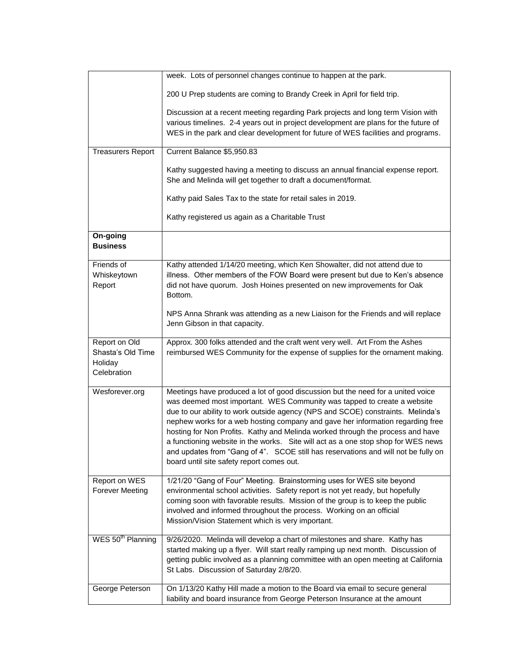|                                                              | week. Lots of personnel changes continue to happen at the park.                                                                                                                                                                                                                                                                                                                                                                                                                                                                                                                                                                           |
|--------------------------------------------------------------|-------------------------------------------------------------------------------------------------------------------------------------------------------------------------------------------------------------------------------------------------------------------------------------------------------------------------------------------------------------------------------------------------------------------------------------------------------------------------------------------------------------------------------------------------------------------------------------------------------------------------------------------|
|                                                              | 200 U Prep students are coming to Brandy Creek in April for field trip.                                                                                                                                                                                                                                                                                                                                                                                                                                                                                                                                                                   |
|                                                              | Discussion at a recent meeting regarding Park projects and long term Vision with<br>various timelines. 2-4 years out in project development are plans for the future of<br>WES in the park and clear development for future of WES facilities and programs.                                                                                                                                                                                                                                                                                                                                                                               |
| <b>Treasurers Report</b>                                     | Current Balance \$5,950.83                                                                                                                                                                                                                                                                                                                                                                                                                                                                                                                                                                                                                |
|                                                              | Kathy suggested having a meeting to discuss an annual financial expense report.<br>She and Melinda will get together to draft a document/format.                                                                                                                                                                                                                                                                                                                                                                                                                                                                                          |
|                                                              | Kathy paid Sales Tax to the state for retail sales in 2019.                                                                                                                                                                                                                                                                                                                                                                                                                                                                                                                                                                               |
|                                                              | Kathy registered us again as a Charitable Trust                                                                                                                                                                                                                                                                                                                                                                                                                                                                                                                                                                                           |
| On-going<br><b>Business</b>                                  |                                                                                                                                                                                                                                                                                                                                                                                                                                                                                                                                                                                                                                           |
| Friends of<br>Whiskeytown<br>Report                          | Kathy attended 1/14/20 meeting, which Ken Showalter, did not attend due to<br>illness. Other members of the FOW Board were present but due to Ken's absence<br>did not have quorum. Josh Hoines presented on new improvements for Oak<br>Bottom.                                                                                                                                                                                                                                                                                                                                                                                          |
|                                                              | NPS Anna Shrank was attending as a new Liaison for the Friends and will replace<br>Jenn Gibson in that capacity.                                                                                                                                                                                                                                                                                                                                                                                                                                                                                                                          |
| Report on Old<br>Shasta's Old Time<br>Holiday<br>Celebration | Approx. 300 folks attended and the craft went very well. Art From the Ashes<br>reimbursed WES Community for the expense of supplies for the ornament making.                                                                                                                                                                                                                                                                                                                                                                                                                                                                              |
| Wesforever.org                                               | Meetings have produced a lot of good discussion but the need for a united voice<br>was deemed most important. WES Community was tapped to create a website<br>due to our ability to work outside agency (NPS and SCOE) constraints. Melinda's<br>nephew works for a web hosting company and gave her information regarding free<br>hosting for Non Profits. Kathy and Melinda worked through the process and have<br>a functioning website in the works. Site will act as a one stop shop for WES news<br>and updates from "Gang of 4". SCOE still has reservations and will not be fully on<br>board until site safety report comes out. |
| Report on WES<br><b>Forever Meeting</b>                      | 1/21/20 "Gang of Four" Meeting. Brainstorming uses for WES site beyond<br>environmental school activities. Safety report is not yet ready, but hopefully<br>coming soon with favorable results. Mission of the group is to keep the public<br>involved and informed throughout the process. Working on an official<br>Mission/Vision Statement which is very important.                                                                                                                                                                                                                                                                   |
| WES 50 <sup>th</sup> Planning                                | 9/26/2020. Melinda will develop a chart of milestones and share. Kathy has<br>started making up a flyer. Will start really ramping up next month. Discussion of<br>getting public involved as a planning committee with an open meeting at California<br>St Labs. Discussion of Saturday 2/8/20.                                                                                                                                                                                                                                                                                                                                          |
| George Peterson                                              | On 1/13/20 Kathy Hill made a motion to the Board via email to secure general<br>liability and board insurance from George Peterson Insurance at the amount                                                                                                                                                                                                                                                                                                                                                                                                                                                                                |